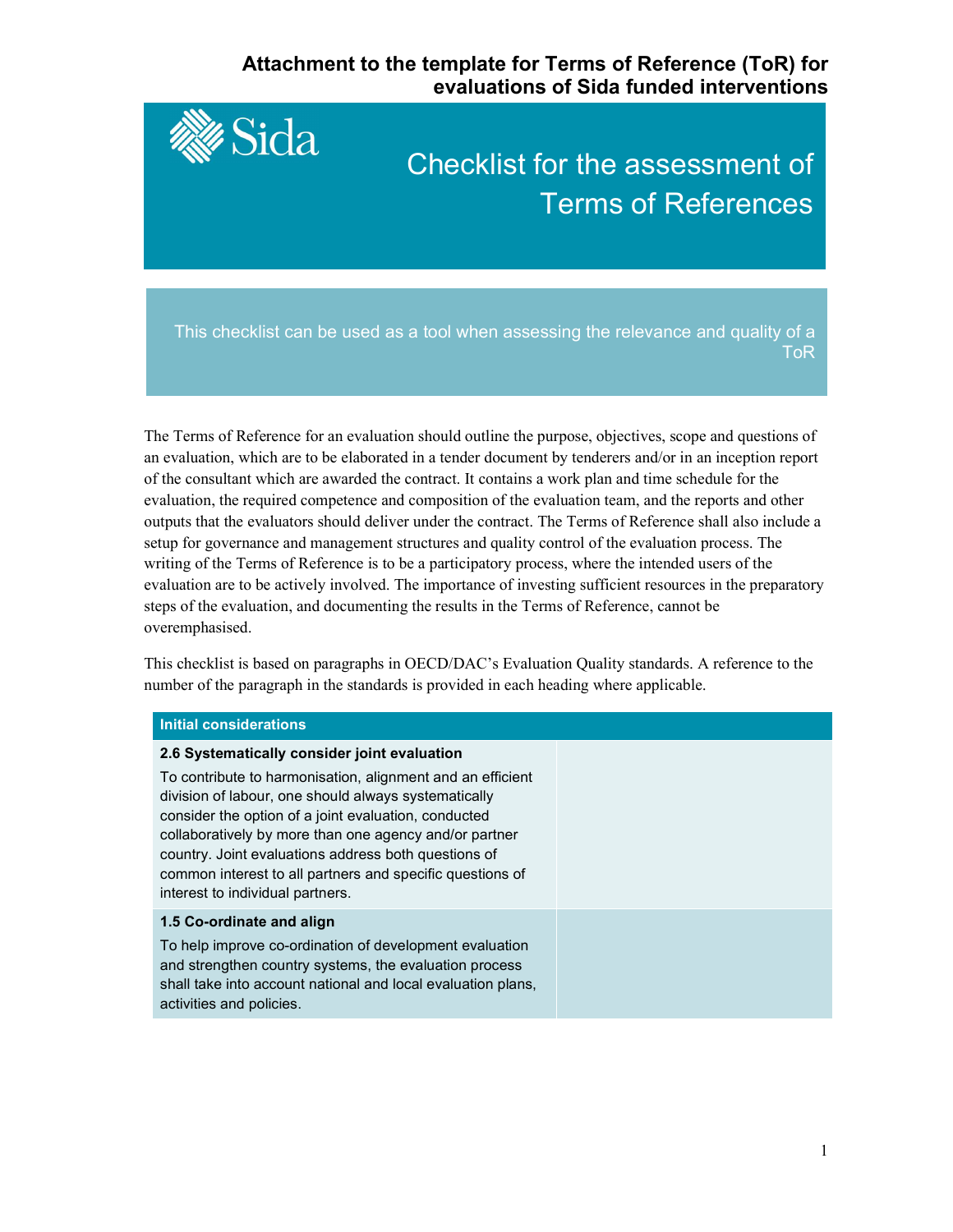# **Attachment to the template for Terms of Reference (ToR) for evaluations of Sida funded interventions**



The Terms of Reference for an evaluation should outline the purpose, objectives, scope and questions of an evaluation, which are to be elaborated in a tender document by tenderers and/or in an inception report of the consultant which are awarded the contract. It contains a work plan and time schedule for the evaluation, the required competence and composition of the evaluation team, and the reports and other outputs that the evaluators should deliver under the contract. The Terms of Reference shall also include a setup for governance and management structures and quality control of the evaluation process. The writing of the Terms of Reference is to be a participatory process, where the intended users of the evaluation are to be actively involved. The importance of investing sufficient resources in the preparatory steps of the evaluation, and documenting the results in the Terms of Reference, cannot be overemphasised.

This checklist is based on paragraphs in OECD/DAC's Evaluation Quality standards. A reference to the number of the paragraph in the standards is provided in each heading where applicable.

# **Initial considerations**

### **2.6 Systematically consider joint evaluation**

To contribute to harmonisation, alignment and an efficient division of labour, one should always systematically consider the option of a joint evaluation, conducted collaboratively by more than one agency and/or partner country. Joint evaluations address both questions of common interest to all partners and specific questions of interest to individual partners.

### **1.5 Co-ordinate and align**

To help improve co-ordination of development evaluation and strengthen country systems, the evaluation process shall take into account national and local evaluation plans, activities and policies.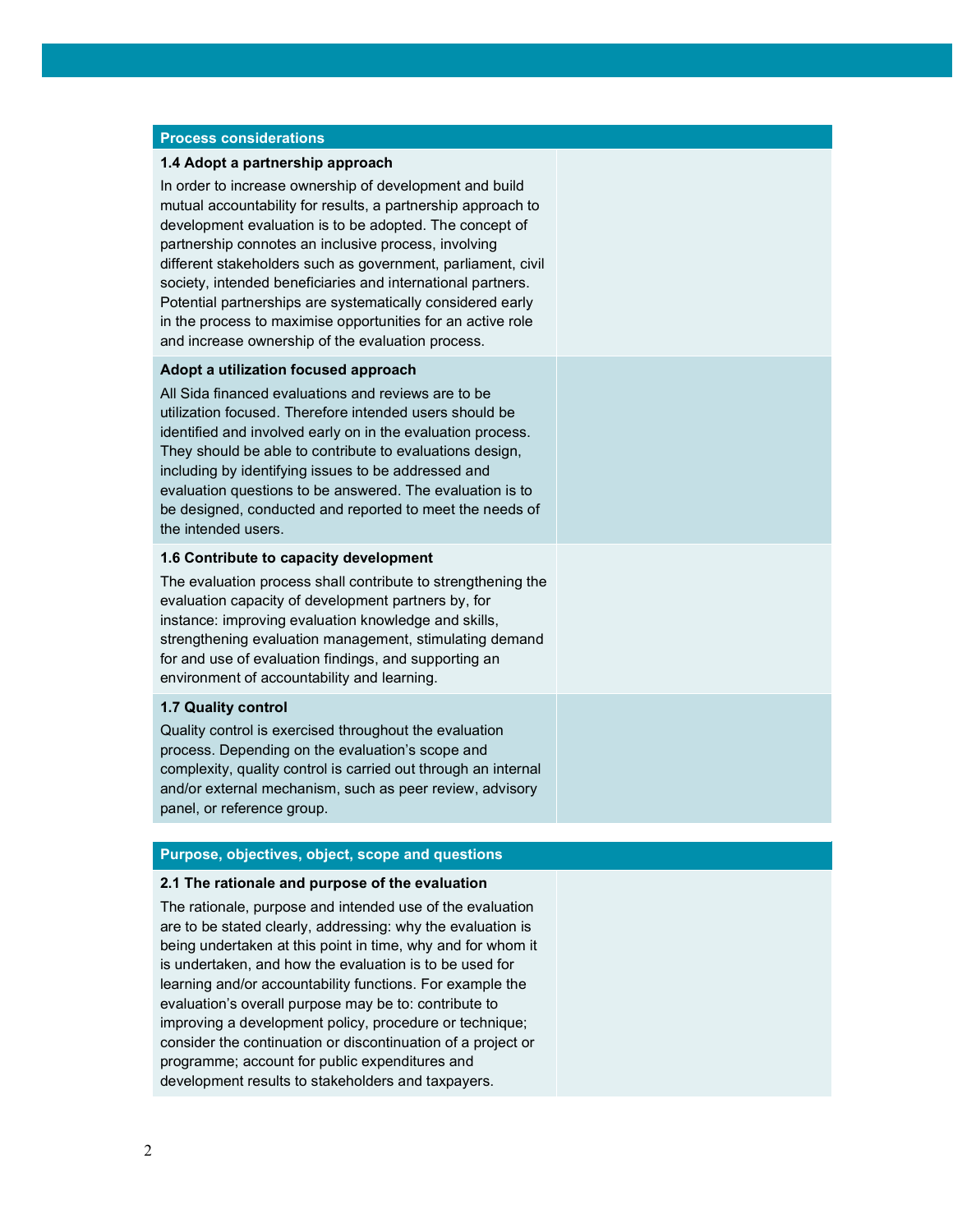### **Process considerations**

### **1.4 Adopt a partnership approach**

In order to increase ownership of development and build mutual accountability for results, a partnership approach to development evaluation is to be adopted. The concept of partnership connotes an inclusive process, involving different stakeholders such as government, parliament, civil society, intended beneficiaries and international partners. Potential partnerships are systematically considered early in the process to maximise opportunities for an active role and increase ownership of the evaluation process.

### **Adopt a utilization focused approach**

All Sida financed evaluations and reviews are to be utilization focused. Therefore intended users should be identified and involved early on in the evaluation process. They should be able to contribute to evaluations design, including by identifying issues to be addressed and evaluation questions to be answered. The evaluation is to be designed, conducted and reported to meet the needs of the intended users.

### **1.6 Contribute to capacity development**

The evaluation process shall contribute to strengthening the evaluation capacity of development partners by, for instance: improving evaluation knowledge and skills, strengthening evaluation management, stimulating demand for and use of evaluation findings, and supporting an environment of accountability and learning.

### **1.7 Quality control**

Quality control is exercised throughout the evaluation process. Depending on the evaluation's scope and complexity, quality control is carried out through an internal and/or external mechanism, such as peer review, advisory panel, or reference group.

# **Purpose, objectives, object, scope and questions**

#### **2.1 The rationale and purpose of the evaluation**

The rationale, purpose and intended use of the evaluation are to be stated clearly, addressing: why the evaluation is being undertaken at this point in time, why and for whom it is undertaken, and how the evaluation is to be used for learning and/or accountability functions. For example the evaluation's overall purpose may be to: contribute to improving a development policy, procedure or technique; consider the continuation or discontinuation of a project or programme; account for public expenditures and development results to stakeholders and taxpayers.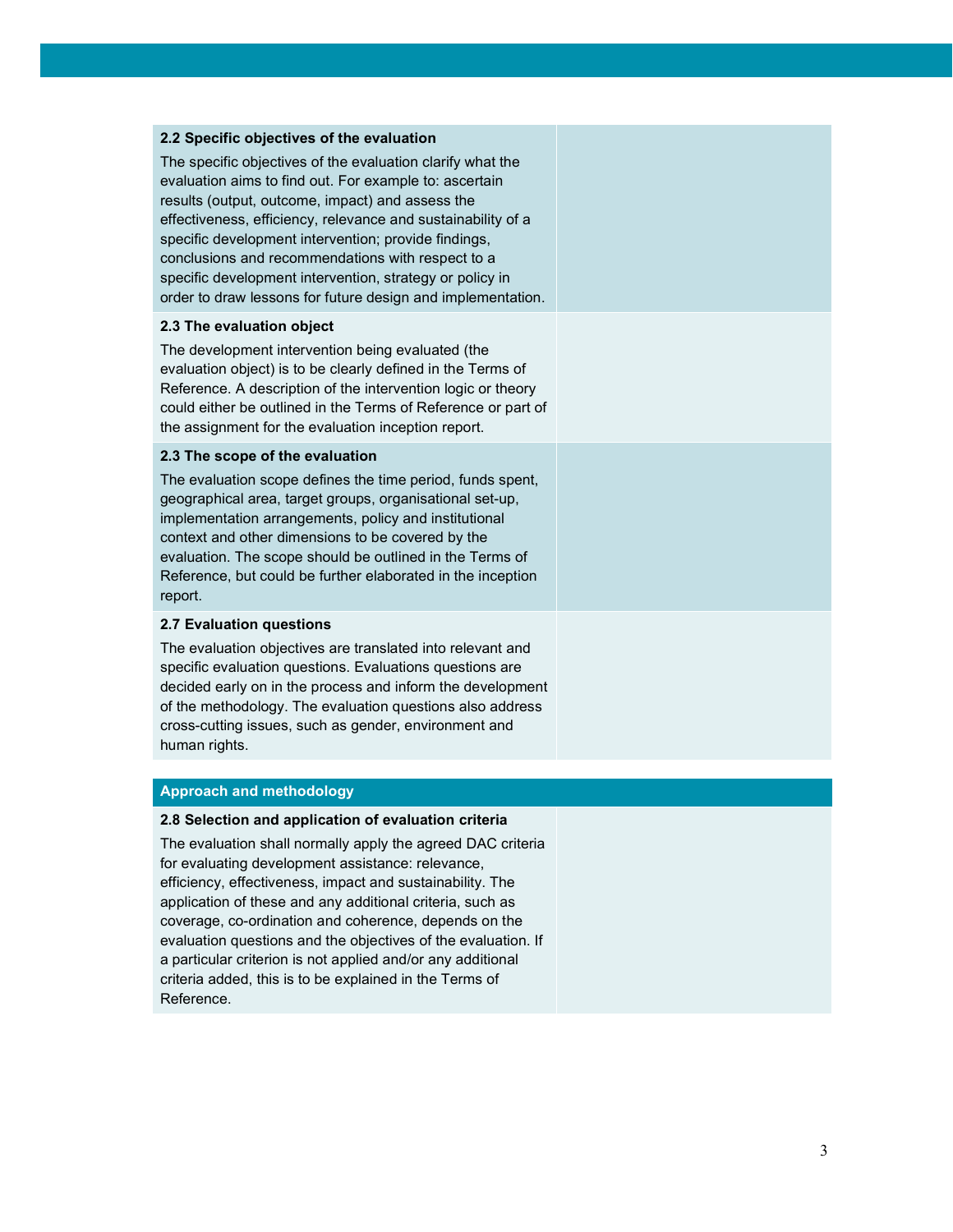### **2.2 Specific objectives of the evaluation**

The specific objectives of the evaluation clarify what the evaluation aims to find out. For example to: ascertain results (output, outcome, impact) and assess the effectiveness, efficiency, relevance and sustainability of a specific development intervention; provide findings, conclusions and recommendations with respect to a specific development intervention, strategy or policy in order to draw lessons for future design and implementation.

### **2.3 The evaluation object**

The development intervention being evaluated (the evaluation object) is to be clearly defined in the Terms of Reference. A description of the intervention logic or theory could either be outlined in the Terms of Reference or part of the assignment for the evaluation inception report.

### **2.3 The scope of the evaluation**

The evaluation scope defines the time period, funds spent, geographical area, target groups, organisational set-up, implementation arrangements, policy and institutional context and other dimensions to be covered by the evaluation. The scope should be outlined in the Terms of Reference, but could be further elaborated in the inception report.

## **2.7 Evaluation questions**

The evaluation objectives are translated into relevant and specific evaluation questions. Evaluations questions are decided early on in the process and inform the development of the methodology. The evaluation questions also address cross-cutting issues, such as gender, environment and human rights.

# **Approach and methodology**

### **2.8 Selection and application of evaluation criteria**

The evaluation shall normally apply the agreed DAC criteria for evaluating development assistance: relevance, efficiency, effectiveness, impact and sustainability. The application of these and any additional criteria, such as coverage, co-ordination and coherence, depends on the evaluation questions and the objectives of the evaluation. If a particular criterion is not applied and/or any additional criteria added, this is to be explained in the Terms of Reference.